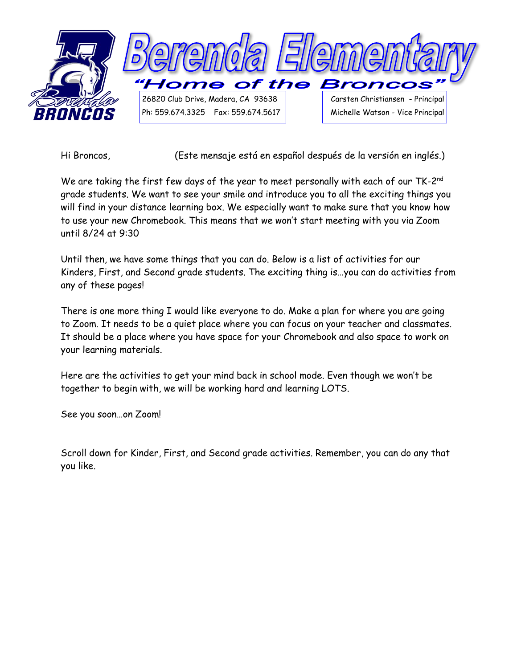

Hi Broncos, (Este mensaje está en español después de la versión en inglés.)

We are taking the first few days of the year to meet personally with each of our TK-2 $^{\mathsf{nd}}$ grade students. We want to see your smile and introduce you to all the exciting things you will find in your distance learning box. We especially want to make sure that you know how to use your new Chromebook. This means that we won't start meeting with you via Zoom until 8/24 at 9:30

Until then, we have some things that you can do. Below is a list of activities for our Kinders, First, and Second grade students. The exciting thing is…you can do activities from any of these pages!

There is one more thing I would like everyone to do. Make a plan for where you are going to Zoom. It needs to be a quiet place where you can focus on your teacher and classmates. It should be a place where you have space for your Chromebook and also space to work on your learning materials.

Here are the activities to get your mind back in school mode. Even though we won't be together to begin with, we will be working hard and learning LOTS.

See you soon…on Zoom!

Scroll down for Kinder, First, and Second grade activities. Remember, you can do any that you like.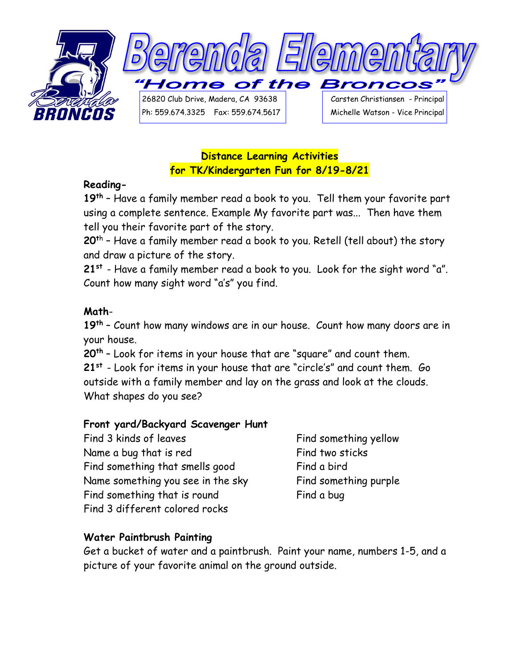

## **Distance Learning Activities for TK/Kindergarten Fun for 8/19-8/21**

## **Reading-**

**19th** – Have a family member read a book to you. Tell them your favorite part using a complete sentence. Example My favorite part was... Then have them tell you their favorite part of the story.

**20<sup>t</sup>**<sup>h</sup> – Have a family member read a book to you. Retell (tell about) the story and draw a picture of the story.

**21st** - Have a family member read a book to you. Look for the sight word "a". Count how many sight word "a's" you find.

## **Math**-

**19th** – Count how many windows are in our house. Count how many doors are in your house.

**20th** – Look for items in your house that are "square" and count them.

**21st** - Look for items in your house that are "circle's" and count them. Go outside with a family member and lay on the grass and look at the clouds. What shapes do you see?

## **Front yard/Backyard Scavenger Hunt**

Find 3 kinds of leaves Find something yellow Name a bug that is red Find two sticks Find something that smells good Find a bird Name something you see in the sky Find something purple Find something that is round Find a bug Find 3 different colored rocks

## **Water Paintbrush Painting**

Get a bucket of water and a paintbrush. Paint your name, numbers 1-5, and a picture of your favorite animal on the ground outside.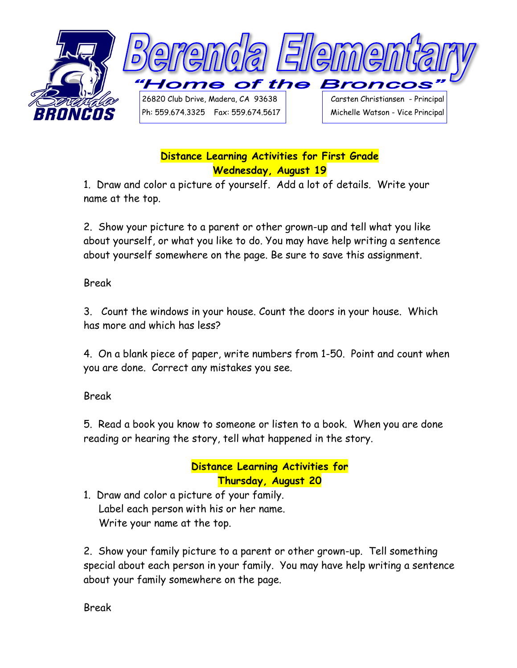

# **Distance Learning Activities for First Grade Wednesday, August 19**

1. Draw and color a picture of yourself. Add a lot of details. Write your name at the top.

2. Show your picture to a parent or other grown-up and tell what you like about yourself, or what you like to do. You may have help writing a sentence about yourself somewhere on the page. Be sure to save this assignment.

Break

3. Count the windows in your house. Count the doors in your house. Which has more and which has less?

4. On a blank piece of paper, write numbers from 1-50. Point and count when you are done. Correct any mistakes you see.

Break

5. Read a book you know to someone or listen to a book. When you are done reading or hearing the story, tell what happened in the story.

# **Distance Learning Activities for Thursday, August 20**

1. Draw and color a picture of your family. Label each person with his or her name. Write your name at the top.

2. Show your family picture to a parent or other grown-up. Tell something special about each person in your family. You may have help writing a sentence about your family somewhere on the page.

Break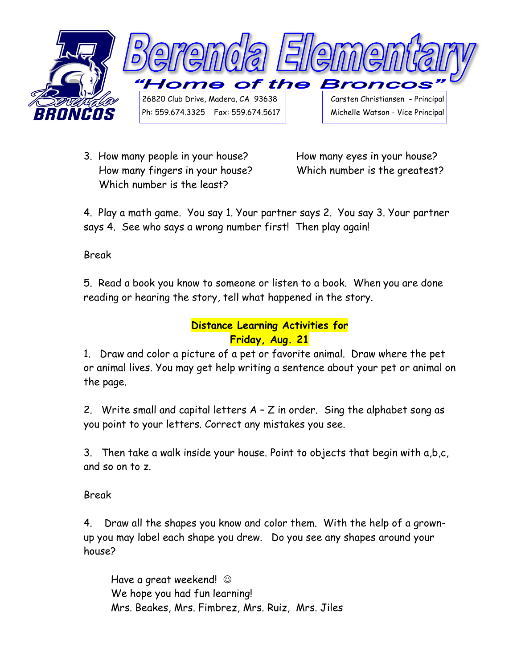

3. How many people in your house? How many eyes in your house? How many fingers in your house? Which number is the greatest? Which number is the least?

4. Play a math game. You say 1. Your partner says 2. You say 3. Your partner says 4. See who says a wrong number first! Then play again!

Break

5. Read a book you know to someone or listen to a book. When you are done reading or hearing the story, tell what happened in the story.

## **Distance Learning Activities for Friday, Aug. 21**

1. Draw and color a picture of a pet or favorite animal. Draw where the pet or animal lives. You may get help writing a sentence about your pet or animal on the page.

2. Write small and capital letters A – Z in order. Sing the alphabet song as you point to your letters. Correct any mistakes you see.

3. Then take a walk inside your house. Point to objects that begin with a,b,c, and so on to z.

Break

4. Draw all the shapes you know and color them. With the help of a grownup you may label each shape you drew. Do you see any shapes around your house?

Have a great weekend!  $\odot$  We hope you had fun learning! Mrs. Beakes, Mrs. Fimbrez, Mrs. Ruiz, Mrs. Jiles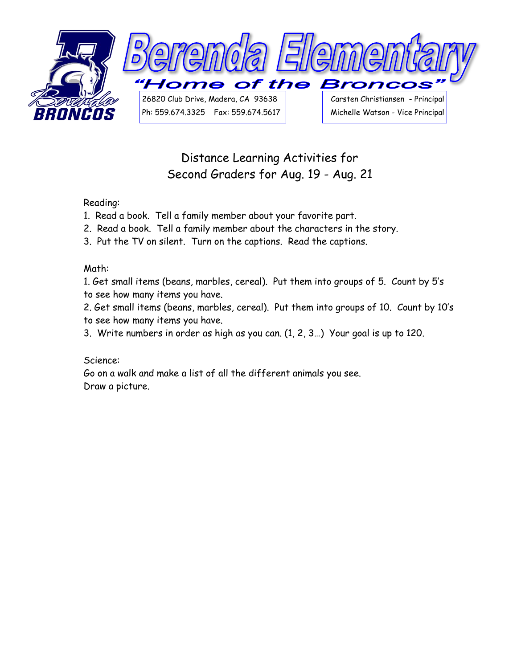

# Distance Learning Activities for Second Graders for Aug. 19 - Aug. 21

### Reading:

- 1. Read a book. Tell a family member about your favorite part.
- 2. Read a book. Tell a family member about the characters in the story.
- 3. Put the TV on silent. Turn on the captions. Read the captions.

#### Math:

1. Get small items (beans, marbles, cereal). Put them into groups of 5. Count by 5's to see how many items you have.

2. Get small items (beans, marbles, cereal). Put them into groups of 10. Count by 10's to see how many items you have.

3. Write numbers in order as high as you can. (1, 2, 3…) Your goal is up to 120.

### Science:

Go on a walk and make a list of all the different animals you see. Draw a picture.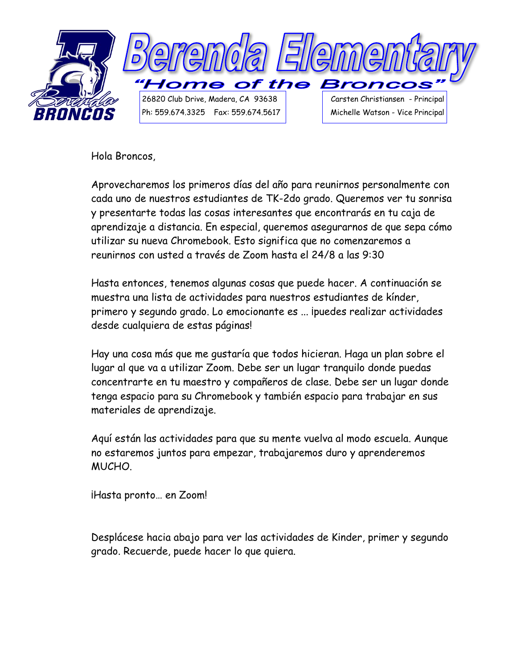

Hola Broncos,

Aprovecharemos los primeros días del año para reunirnos personalmente con cada uno de nuestros estudiantes de TK-2do grado. Queremos ver tu sonrisa y presentarte todas las cosas interesantes que encontrarás en tu caja de aprendizaje a distancia. En especial, queremos asegurarnos de que sepa cómo utilizar su nueva Chromebook. Esto significa que no comenzaremos a reunirnos con usted a través de Zoom hasta el 24/8 a las 9:30

Hasta entonces, tenemos algunas cosas que puede hacer. A continuación se muestra una lista de actividades para nuestros estudiantes de kínder, primero y segundo grado. Lo emocionante es ... ipuedes realizar actividades desde cualquiera de estas páginas!

Hay una cosa más que me gustaría que todos hicieran. Haga un plan sobre el lugar al que va a utilizar Zoom. Debe ser un lugar tranquilo donde puedas concentrarte en tu maestro y compañeros de clase. Debe ser un lugar donde tenga espacio para su Chromebook y también espacio para trabajar en sus materiales de aprendizaje.

Aquí están las actividades para que su mente vuelva al modo escuela. Aunque no estaremos juntos para empezar, trabajaremos duro y aprenderemos MUCHO.

¡Hasta pronto… en Zoom!

Desplácese hacia abajo para ver las actividades de Kinder, primer y segundo grado. Recuerde, puede hacer lo que quiera.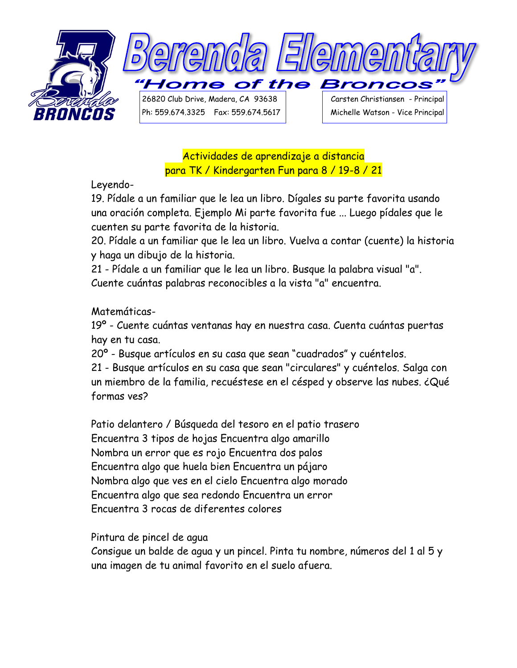

Actividades de aprendizaje a distancia para TK / Kindergarten Fun para 8 / 19-8 / 21

Leyendo-

19. Pídale a un familiar que le lea un libro. Dígales su parte favorita usando una oración completa. Ejemplo Mi parte favorita fue ... Luego pídales que le cuenten su parte favorita de la historia.

20. Pídale a un familiar que le lea un libro. Vuelva a contar (cuente) la historia y haga un dibujo de la historia.

21 - Pídale a un familiar que le lea un libro. Busque la palabra visual "a". Cuente cuántas palabras reconocibles a la vista "a" encuentra.

## Matemáticas-

19º - Cuente cuántas ventanas hay en nuestra casa. Cuenta cuántas puertas hay en tu casa.

20º - Busque artículos en su casa que sean "cuadrados" y cuéntelos.

21 - Busque artículos en su casa que sean "circulares" y cuéntelos. Salga con un miembro de la familia, recuéstese en el césped y observe las nubes. ¿Qué formas ves?

Patio delantero / Búsqueda del tesoro en el patio trasero Encuentra 3 tipos de hojas Encuentra algo amarillo Nombra un error que es rojo Encuentra dos palos Encuentra algo que huela bien Encuentra un pájaro Nombra algo que ves en el cielo Encuentra algo morado Encuentra algo que sea redondo Encuentra un error Encuentra 3 rocas de diferentes colores

Pintura de pincel de agua

Consigue un balde de agua y un pincel. Pinta tu nombre, números del 1 al 5 y una imagen de tu animal favorito en el suelo afuera.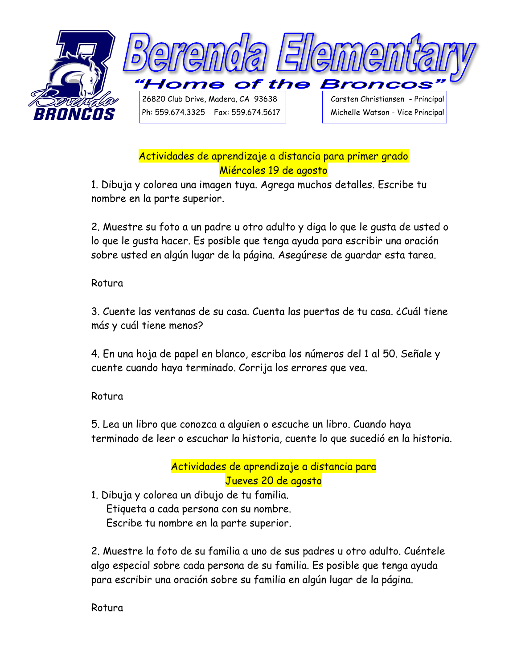

## Actividades de aprendizaje a distancia para primer grado Miércoles 19 de agosto

1. Dibuja y colorea una imagen tuya. Agrega muchos detalles. Escribe tu nombre en la parte superior.

2. Muestre su foto a un padre u otro adulto y diga lo que le gusta de usted o lo que le gusta hacer. Es posible que tenga ayuda para escribir una oración sobre usted en algún lugar de la página. Asegúrese de guardar esta tarea.

Rotura

3. Cuente las ventanas de su casa. Cuenta las puertas de tu casa. ¿Cuál tiene más y cuál tiene menos?

4. En una hoja de papel en blanco, escriba los números del 1 al 50. Señale y cuente cuando haya terminado. Corrija los errores que vea.

Rotura

5. Lea un libro que conozca a alguien o escuche un libro. Cuando haya terminado de leer o escuchar la historia, cuente lo que sucedió en la historia.

# Actividades de aprendizaje a distancia para Jueves 20 de agosto

1. Dibuja y colorea un dibujo de tu familia. Etiqueta a cada persona con su nombre.

Escribe tu nombre en la parte superior.

2. Muestre la foto de su familia a uno de sus padres u otro adulto. Cuéntele algo especial sobre cada persona de su familia. Es posible que tenga ayuda para escribir una oración sobre su familia en algún lugar de la página.

Rotura